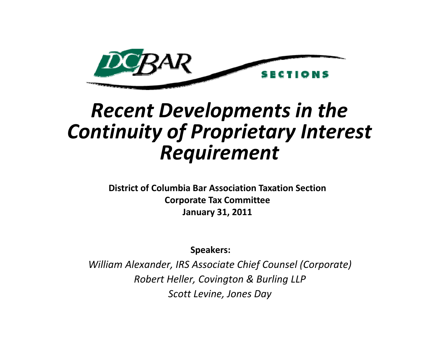

# *R t ecen Dl <sup>t</sup> eve opments in the Continuity of Proprietary Interest Ri t equ rement*

**District of Columbia Bar Association Taxation Section Corporate Tax Committee January 31, 2011**

**Speakers:**

*William Alexander, IRS Associate Chief Counsel (Corporate) Rb t o er H ll <sup>e</sup> er, Cit ov ng on & B li ur ng LLP Scott Levine, Jones Day*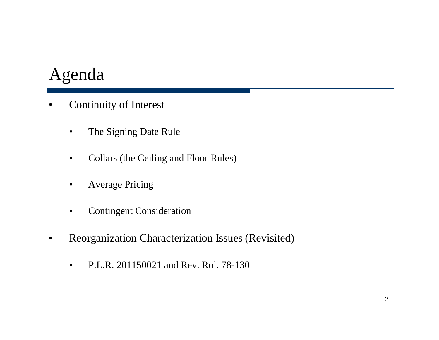#### Agenda

- • Continuity of Interest
	- $\bullet$ The Signing Date Rule
	- $\bullet$ Collars (the Ceiling and Floor Rules)
	- •Average Pricing
	- $\bullet$ Contingent Consideration
- $\bullet$  Reorganization Characterization Issues (Revisited)
	- $\bullet$ P.L.R. 201150021 and Rev. Rul. 78-130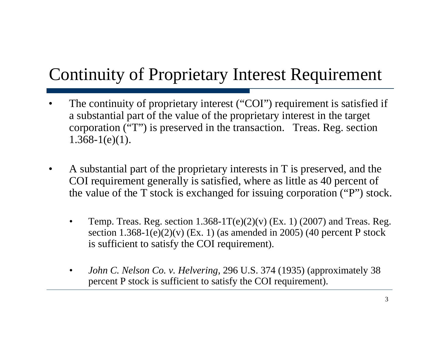## Continuity of Proprietary Interest Requirement

- •• The continuity of proprietary interest ("COI ,, ) requirement is satisfied if if a substantial part of the value of the proprietary interest in the target corporation ("T") is preserved in the transaction. Treas. Reg. section  $1.368 - 1(e)(1)$ .
- $\bullet$  A substantial part of the proprietary interests in T is preserved, and the COI requirement generally is satisfied, where as little as 40 percent of the value of the T stock is exchanged for issuing corporation ("P") stock.
	- •Temp. Treas. Reg. section  $1.368-1T(e)(2)(v)$  (Ex. 1) (2007) and Treas. Reg. section  $1.368$ - $1(e)(2)(v)$  (Ex. 1) (as amended in 2005) (40 percent P stock is sufficient to satisfy the COI requirement).
	- • *John C. Nelson Co. v. Helvering*, 296 U.S. 374 (1935) (approximately 38 percent P stock is sufficient to satisfy the COI requirement).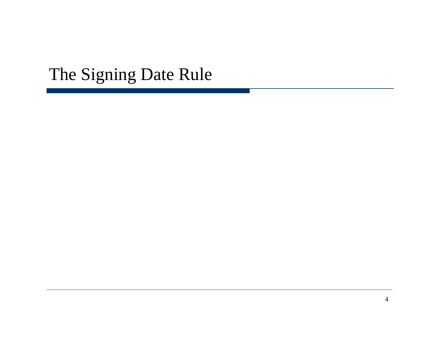## The Signing Date Rule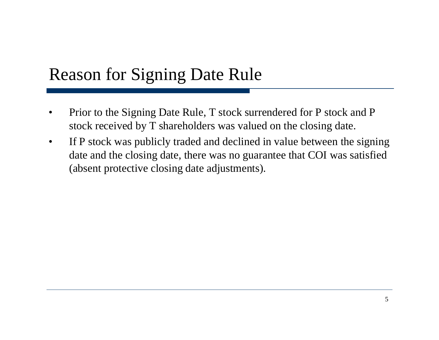### Reason for Signing Date Rule

- • Prior to the Signing Date Rule, T stock surrendered for P stock and P stock received by T shareholders was valued on the closing date.
- $\bullet$  If P stock was publicly traded and declined in value between the signing date and the closing date, there was no guarantee that COI was satisfied (absent protective closing date adjustments).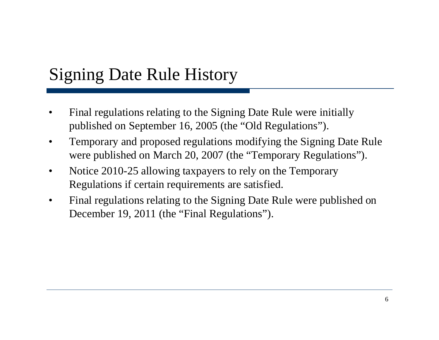## Signing Date Rule History

- • Final regulations relating to the Signing Date Rule were initially published on September 16, 2005 (the "Old Regulations").
- $\bullet$  Temporary and proposed regulations modifying the Signing Date Rule were published on March 20, 2007 (the "Temporary Regulations").
- • Notice 2010-25 allowing taxpayers to rely on the Temporary Regulations if certain requirements are satisfied.
- • Final regulations relating to the Signing Date Rule were published on December 19, 2011 (the "Final Regulations").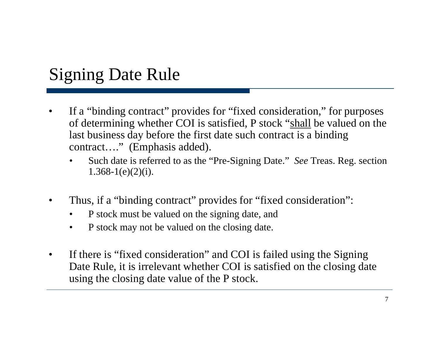## Signing Date Rule

- • If a "binding contract" provides for "fixed consideration," for purposes of determining whether COI is satisfied, P stock "shall be valued on the last business day before the first date such contract is a binding contract….'' (Emphasis added).
	- • Such date is referred to as the "Pre-Signing Date." *See* Treas. Reg. section  $1.368 - 1(e)(2)(i)$ .
- •Thus, if a "binding contract" provides for "fixed consideration":
	- •P stock must be valued on the signing date, and
	- $\bullet$ P stock may not be valued on the closing date.
- • If there is "fixed consideration" and COI is failed using the Signing Date Rule, it is irrelevant whether COI is satisfied on the closing date using the closing date value of the P stock.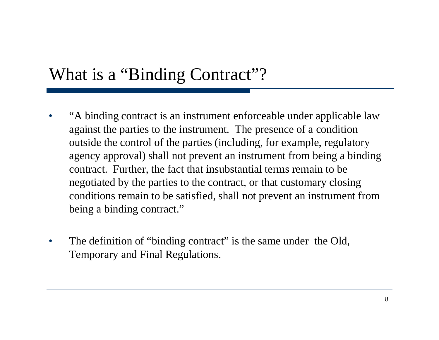#### What is a "Binding Contract"?

- $\bullet$  "A binding contract is an instrument enforceable under applicable law against the parties to the instrument. The presence of a condition outside the control of the parties (including, for example, regulatory agency approval) shall not prevent an instrument from being a binding contract. Further, the fact that insubstantial terms remain to be negotiated by the parties to the contract, or that customary closing conditions remain to be satisfied, shall not prevent an instrument from being a binding contract."
- $\bullet$ The definition of "binding contract" is the same under the Old, Temporary and Final Regulations.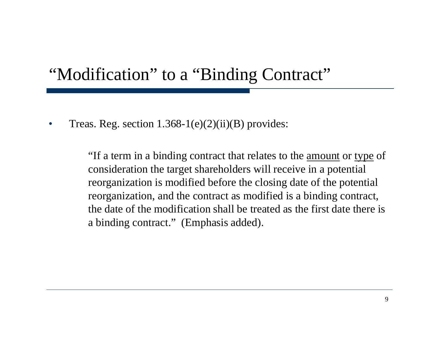#### "Modification" to a "Binding Contract"

•Treas. Reg. section  $1.368-1(e)(2)(ii)(B)$  provides:

> "If a term in a binding contract that relates to the amount or type of consideration the target shareholders will receive in a potential reorganization is modified before the closing date of the potential reorganization, and the contract as modified is a binding contract, the date of the modification shall be treated as the first date there is a binding contract." (Emphasis added).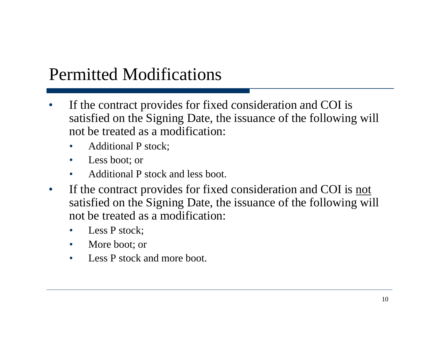## Permitted Modifications

- •If the contract provides for fixed consideration and COI is satisfied on the Signing Date, the issuance of the following will not be treated as a modification:
	- •• Additional P stock;
	- $\bullet$ Less boot; or
	- •Additional P stock and less boot.
- $\bullet$ If the contract provides for fixed consideration and COI is not satisfied on the Signing Date, the issuance of the following will not be treated as a modification:
	- •Less P stock;
	- $\bullet$ More boot; or
	- •Less P stock and more boot.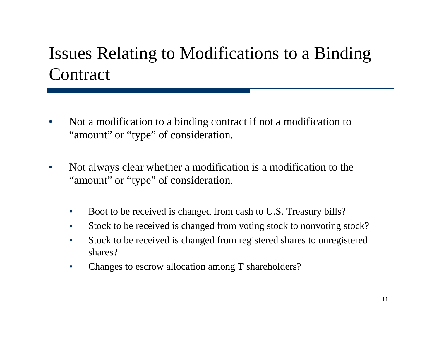## Issues Relating to Modifications to a Binding **Contract**

- $\bullet$  Not a modification to a binding contract if not a modification to "amount" or "type" of consideration.
- $\bullet$  Not always clear whether a modification is a modification to the "amount" or "type" of consideration.
	- $\bullet$ Boot to be received is changed from cash to U.S. Treasury bills?
	- $\bullet$ Stock to be received is changed from voting stock to nonvoting stock?
	- $\bullet$  Stock to be received is changed from registered shares to unregistered shares?
	- $\bullet$ Changes to escrow allocation among T shareholders?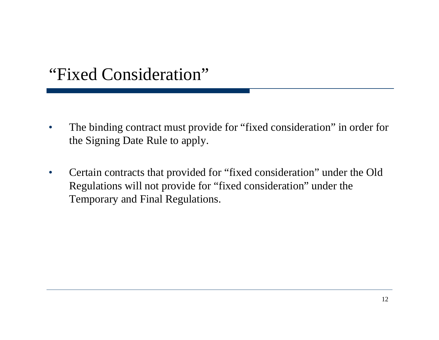#### "Fixed Consideration"

- $\bullet$  The binding contract must provide for "fixed consideration" in order for the Signing Date Rule to apply.
- $\bullet$  Certain contracts that provided for "fixed consideration" under the Old Regulations will not provide for "fixed consideration" under the Temporary and Final Regulations.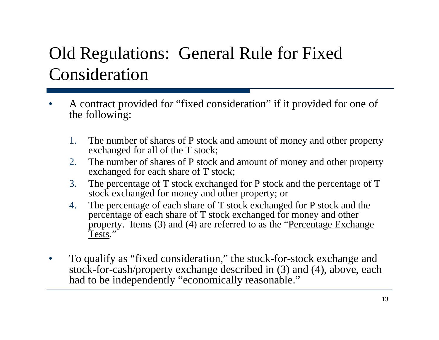## Old Regulations: General Rule for Fixed Consideration

- •A contract provided for "fixed consideration" if it provided for one of the following:
	- 1. The number of shares of P stock and amount of money and other property exchanged for all of the T stock;
	- 2. The number of shares of P stock and amount of money and other property exchanged for each share of T stock;
	- 3. The percentage of T stock exchanged for P stock and the percentage of T stock exchanged for money and other property; or
	- 4. The percentage of each share of T stock exchanged for P stock and the percentage of each share of T stock exchanged for money and other property. Items (3) and (4) are referred to as the "Percentage Exchange Tests."
- $\bullet$  To qualify as "fixed consideration," the stock-for-stock exchange and stock-for-cash/property exchange described in (3) and (4), above, each had to be independently "economically reasonable."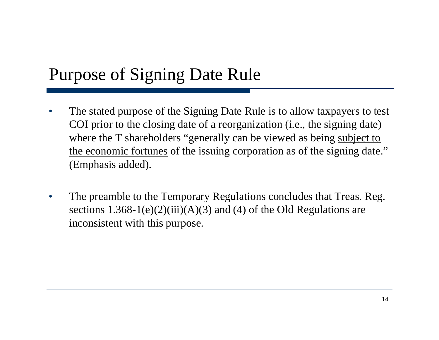## Purpose of Signing Date Rule

- • The stated purpose of the Signing Date Rule is to allow taxpayers to test COI prior to the closing date of a reorganization (i.e., the signing date) where the T shareholders "generally can be viewed as being subject to the economic fortunes of the issuing corporation as of the signing date." (Emphasis added).
- $\bullet$  The preamble to the Temporary Regulations concludes that Treas. Reg. sections  $1.368-1(e)(2)(iii)(A)(3)$  and (4) of the Old Regulations are inconsistent with this purpose.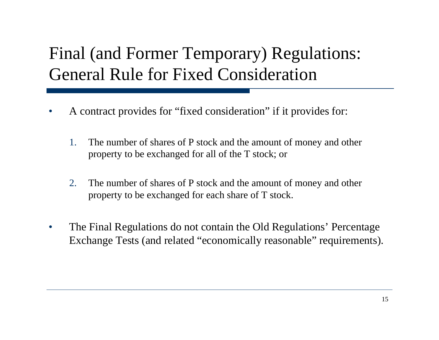## Final (and Former Temporary) Regulations: General Rule for Fixed Consideration

- • A contract provides for "fixed consideration" if it provides for:
	- 1. The number of shares of P stock and the amount of money and other property to be exchanged for all of the T stock; or
	- 2. The number of shares of P stock and the amount of money and other property to be exchanged for each share of T stock.
- $\bullet$  The Final Regulations do not contain the Old Regulations' Percentage Exchange Tests (and related "economically reasonable" requirements).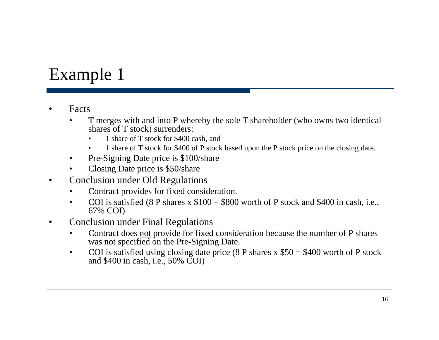## Example 1

- • Facts
	- • T merges with and into P whereby the sole T shareholder (who owns two identical shares of T stock) surrenders:
		- •1 share of T stock for \$400 cash, and
		- $\bullet$ 1 share of T stock for \$400 of P stock based upon the P stock price on the closing date.
	- •Pre-Signing Date price is \$100/share
	- •Closing Date price is \$50/share
- $\bullet$  Conclusion under Old Regulations
	- •Contract provides for fixed consideration.
	- •COI is satisfied (8 P shares x  $$100 = $800$  worth of P stock and \$400 in cash, i.e., 67% COI)
- $\bullet$  Conclusion under Final Regulations
	- • Contract does not provide for fixed consideration because the number of P shares was not specified on the Pre-Signing Date.
	- $\bullet$ COI is satisfied using closing date price  $(8 \text{ P shares x } $50 = $400 \text{ worth of P stock})$ and \$400 in cash, i.e., 50% COI)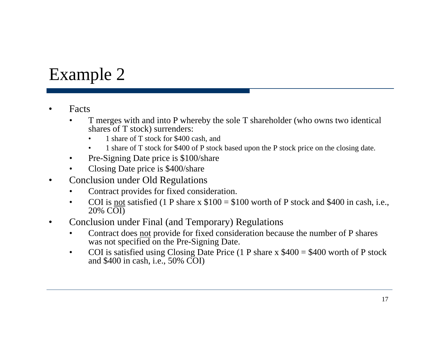## Example 2

- • Facts
	- • T merges with and into P whereby the sole T shareholder (who owns two identical shares of T stock) surrenders:
		- •1 share of T stock for \$400 cash, and
		- $\bullet$ 1 share of T stock for \$400 of P stock based upon the P stock price on the closing date.
	- •Pre-Signing Date price is \$100/share
	- •Closing Date price is \$400/share
- $\bullet$  Conclusion under Old Regulations
	- •Contract provides for fixed consideration.
	- •COI is <u>not</u> satisfied (1 P share x  $$100 = $100$  worth of P stock and \$400 in cash, i.e., 20% COI)
- $\bullet$  Conclusion under Final (and Temporary) Regulations
	- • Contract does not provide for fixed consideration because the number of P shares was not specified on the Pre-Signing Date.
	- $\bullet$ COI is satisfied using Closing Date Price  $(1 \text{ P share x } $400 = $400 \text{ worth of P stock})$ and \$400 in cash, i.e., 50% COI)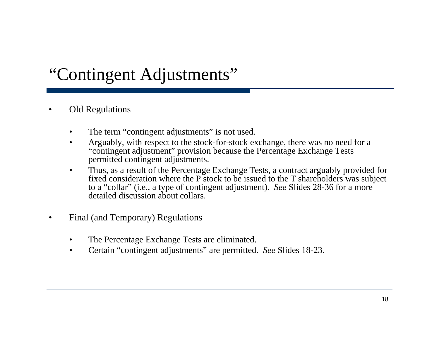## "Contingent Adjustments"

- • Old Regulations
	- $\bullet$ The term "contingent adjustments" is not used.
	- $\bullet$  Arguably, with respect to the stock-for-stock exchange, there was no need for a "contingent adjustment" provision because the Percentage Exchange Tests permitted contingent adjustments.
	- $\bullet$  Thus, as a result of the Percentage Exchange Tests, a contract arguably provided for fixed consideration where the P stock to be issued to the T shareholders was subject to a "collar" (i.e., a type of contingent adjustment). *See* Slides 28-36 for a more detailed discussion about collars.
- $\bullet$  Final (and Temporary) Regulations
	- $\bullet$ The Percentage Exchange Tests are eliminated.
	- $\bullet$ Certain "contingent adjustments" are permitted. *See* Slides 18-23.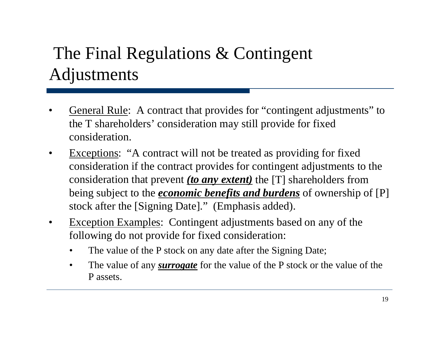# The Final Regulations & Contingent Adjustments

- • General Rule: A contract that provides for "contingent adjustments" to the T shareholders' consideration may still provide for fixed consideration.
- $\bullet$  Exceptions: "A contract will not be treated as providing for fixed consideration if the contract provides for contingent adjustments to the consideration that prevent *(to any extent)* the [T] shareholders from being subject to the *economic benefits and burdens* of ownership of [P] stock after the [Signing Date]." (Emphasis added).
- $\bullet$  Exception Examples: Contingent adjustments based on any of the following do not provide for fixed consideration:
	- •The value of the P stock on any date after the Signing Date;
	- • The value of any *surrogate* for the value of the P stock or the value of the P assets.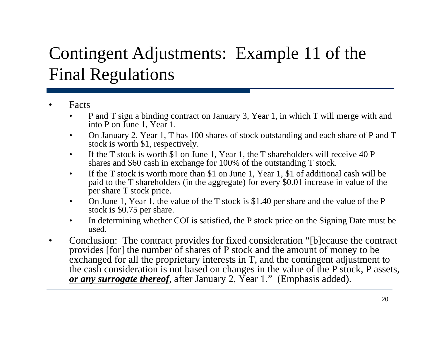# Conting ent Adjustments: Example 11 of the Final Regulations

- • Facts
	- • P and T sign a binding contract on January 3, Year 1, in which T will merge with and into P on June 1, Year 1.
	- $\bullet$  On January 2, Year 1, T has 100 shares of stock outstanding and each share of P and T stock is worth  $$1$ , respectively.
	- $\bullet$  If the T stock is worth \$1 on June 1, Year 1, the T shareholders will receive 40 P shares and \$60 cash in exchange for 100% of the outstanding T stock.
	- $\bullet$  If the T stock is worth more than \$1 on June 1, Year 1, \$1 of additional cash will be paid to the T shareholders (in the aggregate) for every \$0.01 increase in value of the per share T stock price.
	- • On June 1, Year 1, the value of the T stock is \$1.40 per share and the value of the P stock is \$0.75 per share.
	- $\bullet$  In determining whether COI is satisfied, the P stock price on the Signing Date must be used.
- $\bullet$  Conclusion: The contract provides for fixed consideration "[b]ecause the contract provides [for] the number of shares of P stock and the amount of money to be exchanged for all the proprietary interests in T, and the contingent adjustment to the cash consideration is not based on changes in the value of the P stock, P assets, *<sup>t</sup> th f* ft J 2 Y 1 " (E h i dd d) *or any surrogate thereof*, after January 2, Year 1." (Emphasis added).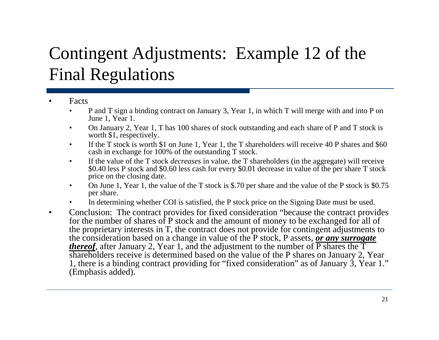# Contingent Adjustments: Example 12 of the Final Regulations

- • Facts
	- • P and T sign a binding contract on January 3, Year 1, in which T will merge with and into P on June 1, Year 1.
	- $\bullet$  On January 2, Year 1, T has 100 shares of stock outstanding and each share of P and T stock is worth \$1, respectively.
	- $\bullet$  If the T stock is worth \$1 on June 1, Year 1, the T shareholders will receive 40 P shares and \$60 cash in exchange for 100% of the outstanding T stock.
	- • If the value of the T stock *decreases* in value, the T shareholders (in the aggregate) will receive \$0.40 less P stock and \$0.60 less cash for every \$0.01 decrease in value of the per share T stock price on the closing date.
	- $\bullet$  On June 1, Year 1, the value of the T stock is \$.70 per share and the value of the P stock is \$0.75 per s hare.
	- •In determining whether COI is satisfied, the P stock price on the Signing Date must be used.
- $\bullet$  Conclusion: The contract provides for fixed consideration "because the contract provides for the number of shares of P stock and the amount of money to be exchanged for all of the proprietary interests in T, the contract does not provide for contingent adjustments to the consideration based on a change in value of the P stock, P assets, *or any surrogate thereof*, after January 2, Year 1, and the adjustment to the number of  $\overline{P}$  shares the  $\overline{T}$ shareholders receive is determined based on the value of the P shares on January 2, Year 1, there is a binding contract providing for "fixed consideration" as of January  $\tilde{3}$ , Year 1." (Emphasis added).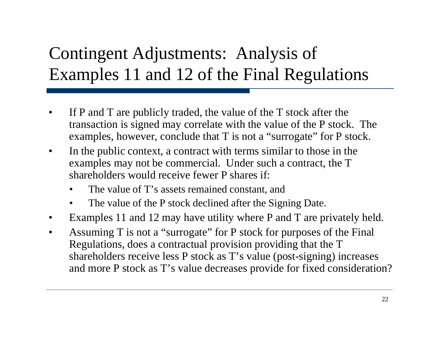# Contingent Adjustments: Analysis of Examples 11 and 12 of the Final Regulations

- • If P and T are publicly traded, the value of the T stock after the transaction is signed may correlate with the value of the P stock. The examples, however, conclude that T is not a "surrogate" for P stock.
- $\bullet$ • In the public context, a contract with terms similar to those in the examples may not be commercial. Under such a contract, the T shareholders would receive fewer P shares if:
	- •The value of  $T$ 's assets remained constant, and
	- $\bullet$ The value of the P stock declined after the Signing Date.
- $\bullet$ Examples 11 and 12 may have utility where P and T are privately held.
- $\bullet$ Assuming  $T$  is not a "surrogate" for  $P$  stock for purposes of the Final Regulations, does a contractual provision providing that the T shareholders receive less P stock as T's value (post-signing) increases and more P stock as T's value decreases provide for fixed consideration?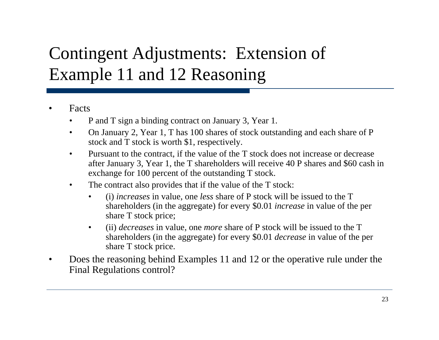# Contingent Adjustments: Extension of Example 11 and 12 Reasoning

- • Facts
	- •P and T sign a binding contract on January 3, Year 1.
	- $\bullet$  On January 2, Year 1, T has 100 shares of stock outstanding and each share of P stock and T stock is worth \$1, respectively.
	- $\bullet$  Pursuant to the contract, if the value of the T stock does not increase or decrease after January 3, Year 1, the T shareholders will receive 40 P shares and \$60 cash in exchange for 100 percent of the outstanding T stock.
	- $\bullet$  The contract also provides that if the value of the T stock:
		- • (i) *increases* in value, one *less* share of P stock will be issued to the T shareholders (in the aggregate) for every \$0.01 *increase* in value of the per share T stock price;
		- $\bullet$  (ii) *decreases* in value, one *more* share of P stock will be issued to the T shareholders (in the aggregate) for every \$0.01 *decrease* in value of the per share T stock price.
- • Does the reasoning behind Examples 11 and 12 or the operative rule under the Final Regulations control?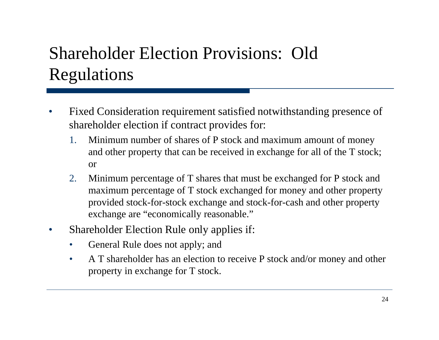# Shareholder Election Provisions: Old Regulations

- • Fixed Consideration requirement satisfied notwithstanding presence of shareholder election if contract provides for:
	- 1. Minimum number of shares of P stock and maximum amount of money and other property that can be received in exchange for all of the T stock; or
	- 2. Minimum percentage of T shares that must be exchanged for P stock and maximum percentage of T stock exchanged for money and other property T provided stock-for-stock exchange and stock-for-cash and other property exchange are "economically reasonable."
- •• Shareholder Election Rule only applies if:
	- $\bullet$ General Rule does not apply; and
	- $\bullet$  A T shareholder has an election to receive P stock and/or money and other property in exchange for T stock.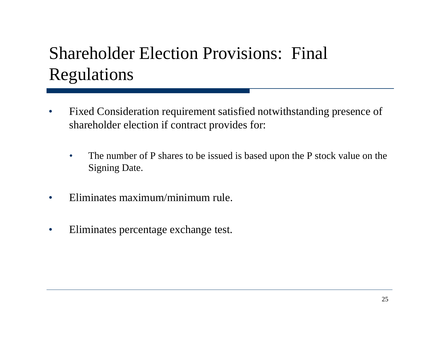# Shareholder Election Provisions: Final Regulations

- $\bullet$  Fixed Consideration requirement satisfied notwithstanding presence of shareholder election if contract provides for:
	- $\bullet$  The number of P shares to be issued is based upon the P stock value on the Signing Date.
- $\bullet$ Eliminates maximum/minimum rule.
- $\bullet$ • Eliminates percentage exchange test.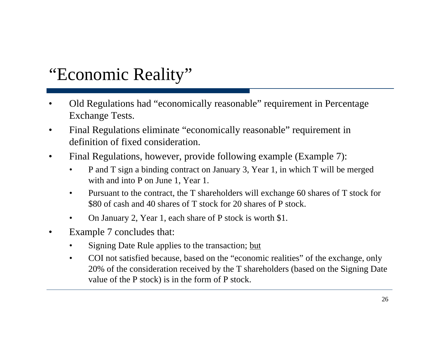## "Economic Reality"

- •Old Regulations had "economically reasonable" requirement in Percentage Exchange Tests.
- $\bullet$  Final Regulations eliminate "economically reasonable" requirement in definition of fixed consideration.
- $\bullet$  Final Regulations, however, provide following example (Example 7):
	- • P and T sign a binding contract on January 3, Year 1, in which T will be merged with and into P on June 1, Year 1.
	- $\bullet$ Pursuant to the contract, the T shareholders will exchange 60 shares of T stock for \$80 of cash and 40 shares of T stock for 20 shares of P stock.
	- •On January 2, Year 1, each share of P stock is worth \$1.
- $\bullet$  Example 7 concludes that:
	- •Signing Date Rule applies to the transaction; but
	- $\bullet$  COI not satisfied because, based on the "economic realities" of the exchange, only 20% of the consideration received by the T shareholders (based on the Signing Date value of the P stock) is in the form of P stock.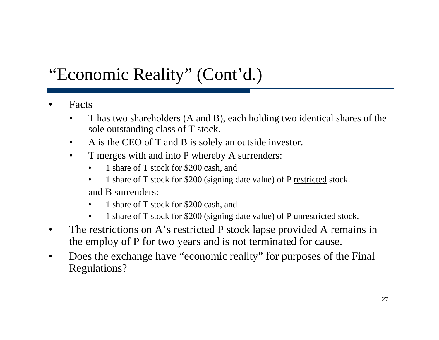## "Economic Reality" (Cont'd.)

- • Facts
	- • T has two shareholders (A and B), each holding two identical shares of the sole outstanding class of T stock.
	- $\bullet$ A is the CEO of T and B is solely an outside investor.
	- $\bullet$  T merges with and into P whereby A surrenders:
		- •1 share of T stock for \$200 cash, and
		- • 1 share of T stock for \$200 (signing date value) of P restricted stock. and B surrenders:
		- •1 share of T stock for \$200 cash, and
		- •1 share of T stock for \$200 (signing date value) of P unrestricted stock.
- •The restrictions on A's restricted P stock lapse provided A remains in the employ of P for two years and is not terminated for cause.
- $\bullet$  Does the exchange have "economic reality" for purposes of the Final Regulations?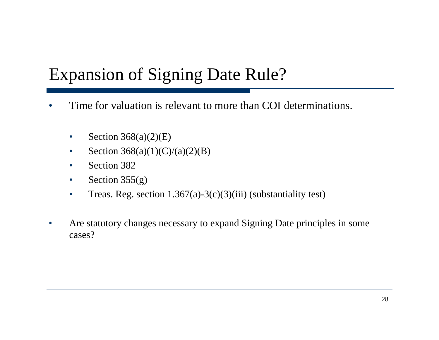## Expansion of Signing Date Rule?

- •Time for valuation is relevant to more than COI determinations.
	- $\bullet$ Section 368(a)(2)(E)
	- $\bullet$ • Section 368(a)(1)(C)/(a)(2)(B)
	- $\bullet$ Section 382
	- $\bullet$ Section 355(g)
	- $\bullet$ • Treas. Reg. section  $1.367(a)-3(c)(3)(iii)$  (substantiality test)
- $\bullet$  Are statutory changes necessary to expand Signing Date principles in some cases?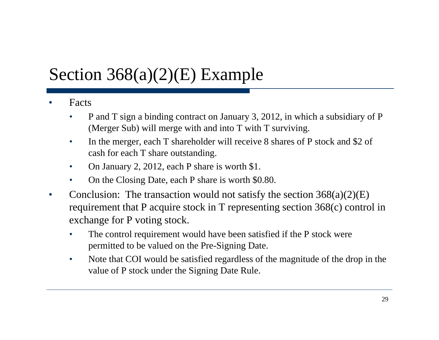# Section 368(a)(2)(E) Example

- • Facts
	- • P and T sign a binding contract on January 3, 2012, in which a subsidiary of P (Merger Sub) will merge with and into T with T surviving.
	- $\bullet$  In the merger, each T shareholder will receive 8 shares of P stock and \$2 of cash for each T share outstandin g.
	- $\bullet$ On January 2, 2012, each P share is worth \$1.
	- •On the Closing Date, each P share is worth \$0.80.
- $\bullet$ • Conclusion: The transaction would not satisfy the section  $368(a)(2)(E)$ requirement that P acquire stock in T representing section 368(c) control in exchange for P voting stock.
	- $\bullet$ • The control requirement would have been satisfied if the P stock were permitted to be valued on the Pre-Signing Date.
	- • Note that COI would be satisfied regardless of the magnitude of the drop in the value of P stock under the Signing Date Rule.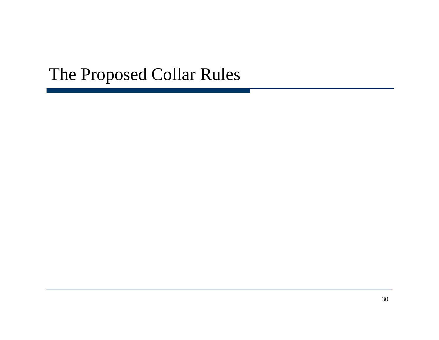#### The Proposed Collar Rules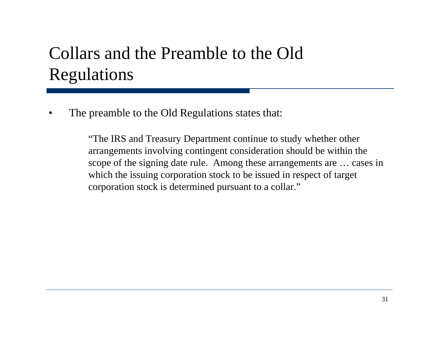## Collars and the Preamble to the Old Regulations

•The preamble to the Old Regulations states that:

> "The IRS and Treasury Department continue to study whether other arrangements involving contingent consideration should be within the scope of the signing date rule. Among these arrangements are … cases in which the issuing corporation stock to be issued in respect of target corporation stock is determined pursuant to a collar."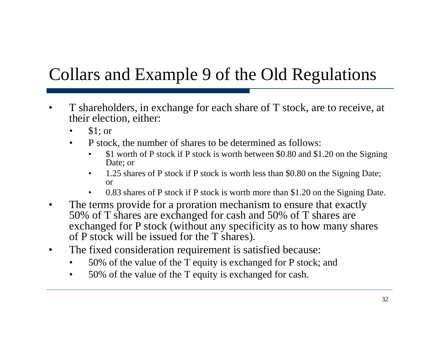# Collars and Example 9 of the Old Regulations

- $\bullet$ • T shareholders, in exchange for each share of T stock, are to receive, at their election, either:
	- •\$1; or
	- • P stock, the number of shares to be determined as follows:
		- • \$1 worth of P stock if P stock is worth between \$0.80 and \$1.20 on the Signing Date; or
		- • 1.25 shares of P stock if P stock is worth less than \$0.80 on the Signing Date; or
		- •• 0.83 shares of P stock if P stock is worth more than \$1.20 on the Signing Date.
- $\bullet$  The terms provide for a proration mechanism to ensure that exactly 50% of T shares are exchanged for cash and 50% of T shares are exchanged for P stock (without any specificity as to how many shares of P stock will be issued for the T shares).
- $\bullet$  The fixed consideration requirement is satisfied because:
	- •50% of the value of the T equity is exchanged for P stock; and
	- • $\bullet$  50% of the value of the T equity is exchanged for cash.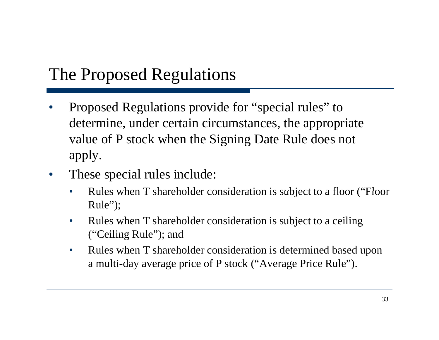## The Proposed Regulations

- •Proposed Regulations provide for "special rules" to determine, under certain circumstances, the appropriate value of P stock when the Signing Date Rule does not apply.
- • These special rules include:
	- •• Rules when T shareholder consideration is subject to a floor ("Floor Rule");
	- $\bullet$  Rules when T shareholder consideration is subject to a ceiling  $("Ceiling Rule");$  and
	- • Rules when T shareholder consideration is determined based upon a multi-day average price of P stock ("Average Price Rule").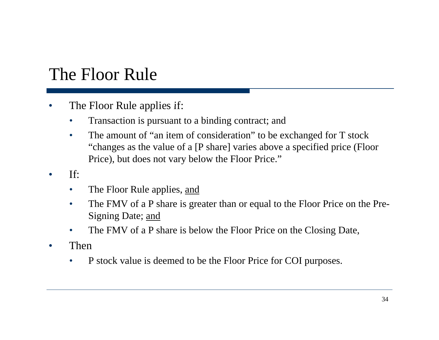#### The Floor Rule

- $\bullet$ The Floor Rule applies if:
	- •Transaction is pursuant to a binding contract; and
	- • The amount of "an item of consideration" to be exchanged for T stock "changes as the value of a [P share] varies above a specified price (Floor Price), but does not vary below the Floor Price."
- • If:
	- $\bullet$ The Floor Rule applies, and
	- $\bullet$  The FMV of a P share is greater than or equal to the Floor Price on the Pre-Signing Date; and
	- $\bullet$ The FMV of a P share is below the Floor Price on the Closing Date,
- $\bullet$  Then
	- •P stock value is deemed to be the Floor Price for COI purposes.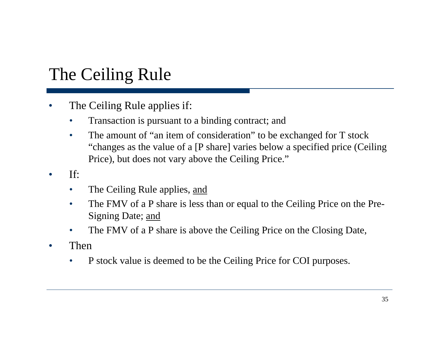## The Ceiling Rule

- $\bullet$ The Ceiling Rule applies if:
	- $\bullet$ Transaction is pursuant to a binding contract; and
	- •The amount of "an item of consideration" to be exchanged for T stock "changes as the value of a [P share] varies below a specified price (Ceiling) Price), but does not vary above the Ceiling Price."
- • If:
	- $\bullet$ The Ceiling Rule applies, and
	- $\bullet$  The FMV of a P share is less than or equal to the Ceiling Price on the Pre-Signing Date; and
	- $\bullet$ The FMV of a P share is above the Ceiling Price on the Closing Date,
- $\bullet$  Then
	- •P stock value is deemed to be the Ceiling Price for COI purposes.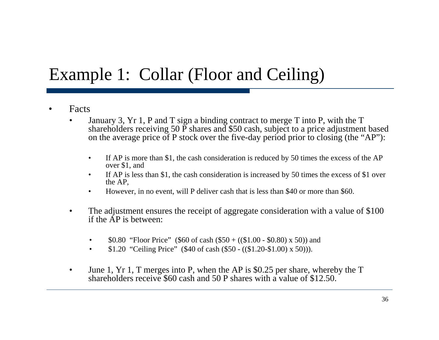### Example 1: Collar (Floor and Ceiling)

- •Facts
	- • January 3, Yr 1, P and T sign a binding contract to merge T into P, with the T shareholders receiving 50  $\overline{P}$  shares and \$50 cash, subject to a price adjustment based on the average price of P stock over the five-day period prior to closing (the "AP"):
		- $\bullet$  If AP is more than \$1, the cash consideration is reduced by 50 times the excess of the AP over \$1, and
		- $\bullet$  If AP is less than \$1, the cash consideration is increased by 50 times the excess of \$1 over the AP,
		- •• However, in no event, will P deliver cash that is less than \$40 or more than \$60.
	- • The adjustment ensures the receipt of aggregate consideration with a value of \$100 if the AP is between:
		- $\bullet$ \$0.80 "Floor Price" (\$60 of cash (\$50 + ((\$1.00 - \$0.80) x 50)) and
		- •\$1.20 "Ceiling Price" (\$40 of cash (\$50 - ((\$1.20-\$1.00) x 50))).
	- • June 1, Yr 1, T merges into P, when the AP is \$0.25 per share, whereby the T shareholders receive \$60 cash and 50 P shares with a value of \$12.50.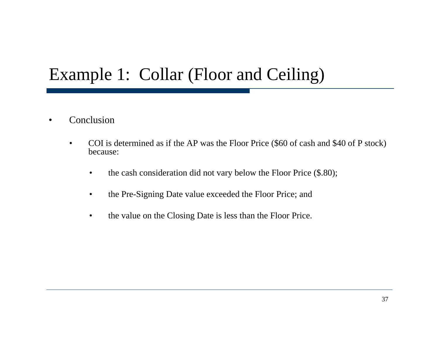## Example 1: Collar (Floor and Ceiling)

- $\bullet$  Conclusion
	- $\bullet$  COI is determined as if the AP was the Floor Price (\$60 of cash and \$40 of P stock) because:
		- •the cash consideration did not vary below the Floor Price (\$.80);
		- $\bullet$ the Pre-Signing Date value exceeded the Floor Price; and
		- •the value on the Closing Date is less than the Floor Price.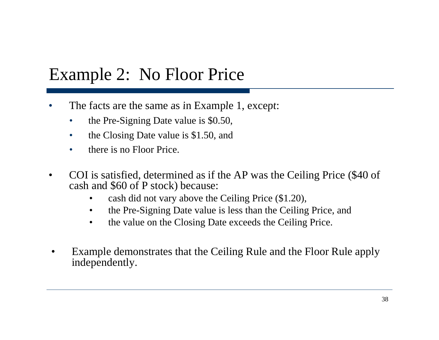## Example 2: No Floor Price

- •• The facts are the same as in Example 1, except:
	- $\bullet$ the Pre-Signing Date value is \$0.50,
	- $\bullet$ the Closing Date value is \$1.50, and
	- •there is no Floor Price.
- • COI is satisfied, determined as if the AP was the Ceiling Price (\$40 of cash and \$60 of P stock ) because:
	- $\bullet$ cash did not vary above the Ceiling Price (\$1.20),
	- $\bullet$ the Pre-Signing Date value is less than the Ceiling Price, and
	- $\bullet$ the value on the Closing Date exceeds the Ceiling Price.
- • Example demonstrates that the Ceiling Rule and the Floor Rule apply independently.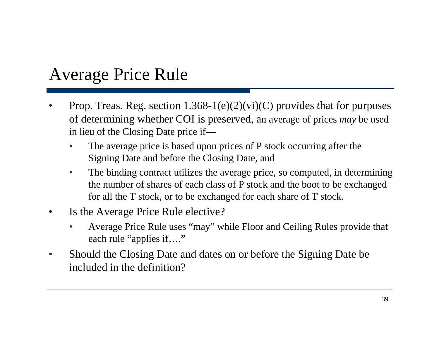## Average Price Rule

- •Prop. Treas. Reg. section  $1.368-1(e)(2)(vi)(C)$  provides that for purposes of determining whether COI is preserved, an average of prices *may* be used in lieu of the Closing Date price if—
	- $\bullet$ The average price is based upon prices of  $P$  stock occurring after the Signing Date and before the Closing Date, and
	- $\bullet$  The binding contract utilizes the average price, so computed, in determining the number of shares of each class of P stock and the boot to be exchanged for all the T stock, or to be exchanged for each share of T stock.
- • Is the Average Price Rule elective?
	- • Average Price Rule uses "may" while Floor and Ceiling Rules provide that each rule "applies if…."
- $\bullet$  Should the Closing Date and dates on or before the Signing Date be included in the definition?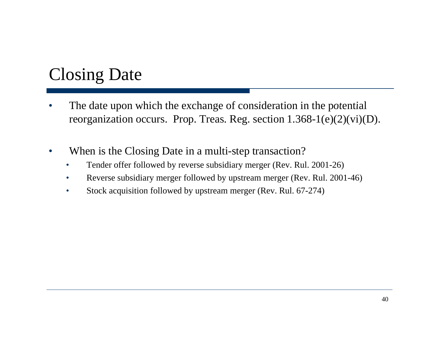## Closing Date

- • The date upon which the exchange of consideration in the potential reorganization occurs. Prop. Treas. Reg. section 1.368-1(e)(2)(vi)(D).
- •When is the Closing Date in a multi-step transaction?
	- •Tender offer followed by reverse subsidiary merger (Rev. Rul. 2001-26)
	- •Reverse subsidiary merger followed by upstream merger (Rev. Rul. 2001-46)
	- •Stock acquisition followed by upstream merger (Rev. Rul. 67-274)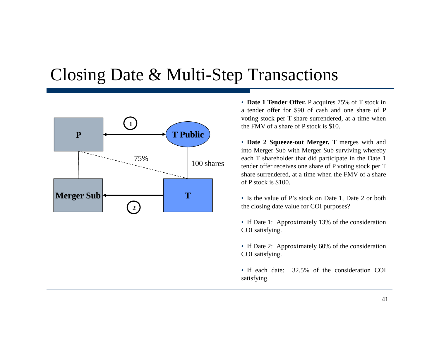#### Closing Date & Multi-Step Transactions



• **Date 1 Tender Offer.** P acquires 75% of T stock in <sup>a</sup> tender offer for \$90 of cash and one share of P voting stock per T share surrendered, at <sup>a</sup> time when the FMV of <sup>a</sup> share of P stock is \$10.

• **Date 2 Squeeze-out Merger.** T merges with and into Merger Sub with Merger Sub surviving whereby each T shareholder that did participate in the Date 1 tender offer receives one share of P voting stock per T share surrendered, at <sup>a</sup> time when the FMV of <sup>a</sup> share of P stock is \$100.

• Is the value of P's stock on Date 1, Date 2 or both the closing date value for COI purposes?

• If Date 1: Approximately 13% of the consideration COI satisfying.

- If Date 2: Approximately 60% of the consideration COI satisfying.
- If each date: 32.5% of the consideration COI satisfying.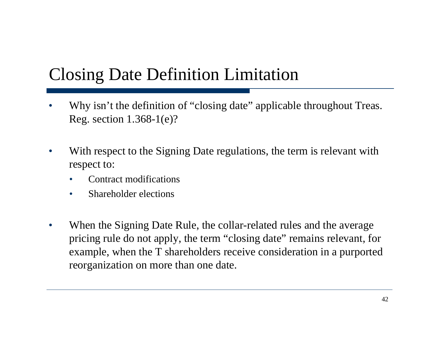## Closing Date Definition Limitation

- •• Why isn't the definition of "closing date" applicable throughout Treas. Reg. section 1.368-1(e)?
- •• With respect to the Signing Date regulations, the term is relevant with respect to:
	- •Contract modifications
	- $\bullet$  $\bullet$  Shareholder elections
- $\bullet$  When the Signing Date Rule, the collar-related rules and the average pricing rule do not apply, the term "closing date" remains relevant, for example, when the T shareholders receive consideration in a purported reorganization on more than one date.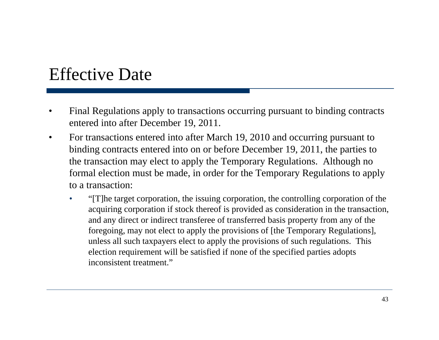#### Effective Date

- • Final Regulations apply to transactions occurring pursuant to binding contracts entered into after December 19, 2011.
- • For transactions entered into after March 19, 2010 and occurring pursuant to binding contracts entered into on or before December 19, 2011, the parties to the transaction may elect to apply the Temporary Regulations. Although no formal election must be made, in order for the Temporary Regulations to apply to a transaction:
	- $\bullet$  "[T]he target corporation, the issuing corporation, the controlling corporation of the acquiring corporation if stock thereof is provided as consideration in the transaction, and any direct or indirect transferee of transferred basis property from any of the foregoing, may not elect to apply the provisions of [the Temporary Regulations], unless all such taxpayers elect to apply the provisions of such regulations. This election requirement will be satisfied if none of the specified parties adopts inconsistent treatment."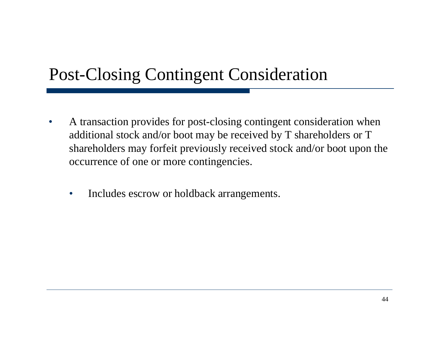#### Post-Closing Contingent Consideration

- $\bullet$  A transaction provides for post-closing contingent consideration when additional stock and/or boot may be received by T shareholders or T shareholders may forfeit previously received stock and/or boot upon the occurrence of one or more contingencies.
	- $\bullet$ • Includes escrow or holdback arrangements.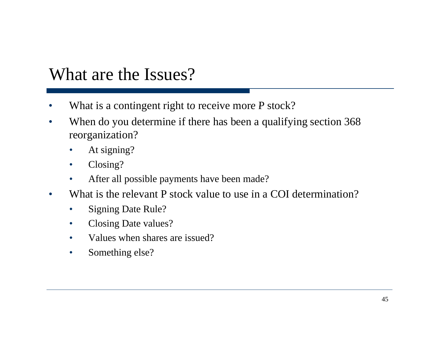#### What are the Issues?

- •• What is a contingent right to receive more P stock?
- $\bullet$  When do you determine if there has been a qualifying section 368 reorganization?
	- •• At signing?
	- $\bullet$ Closing?
	- •After all possible payments have been made?
- $\bullet$ • What is the relevant P stock value to use in a COI determination?
	- $\bullet$ Signing Date Rule?
	- $\bullet$ Closing Date values?
	- •Values when shares are issued?
	- $\bullet$ Something else?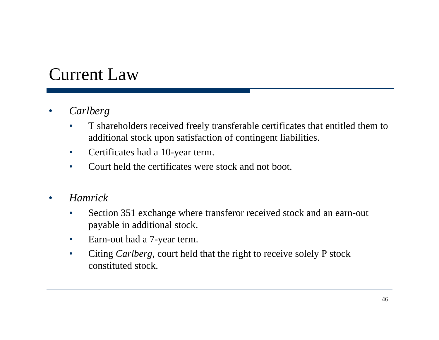#### Current Law

- • *Carlberg*
	- $\bullet$  T shareholders received freely transferable certificates that entitled them to additional stock upon satisfaction of contingent liabilities.
	- $\bullet$ Certificates had a 10-year term.
	- $\bullet$ Court held the certificates were stock and not boot.
- $\bullet$  *Hamrick*
	- $\bullet$  Section 351 exchange where transferor received stock and an earn-out payable in additional stock.
	- $\bullet$ Earn-out had a 7-year term.
	- $\bullet$  Citing *Carlberg*, court held that the right to receive solely P stock constituted stock.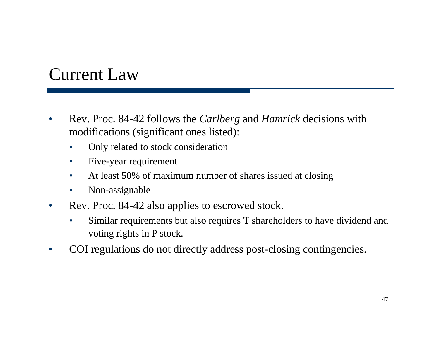#### Current Law

- $\bullet$  Rev. Proc. 84-42 follows the *Carlberg* and *Hamrick* decisions with modifications (significant ones listed):
	- $\bullet$ Only related to stock consideration
	- $\bullet$ Five-year requirement
	- $\bullet$ At least 50% of maximum number of shares issued at closing
	- $\bullet$ Non-assignable
- $\bullet$  Rev. Proc. 84-42 also applies to escrowed stock.
	- $\bullet$  Similar requirements but also requires T shareholders to have dividend and voting rights in  $P$  stock.
- •COI regulations do not directly address post-closing contingencies.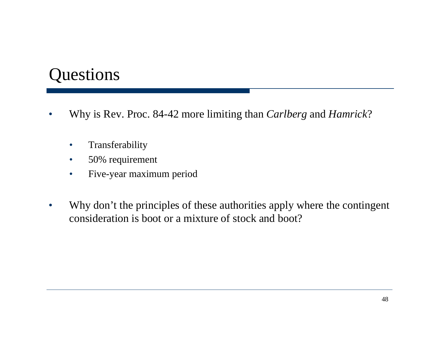#### Questions

- • Why is Rev. Proc. 84-42 more limiting than *Carlberg* and *Hamrick*?
	- $\bullet$ Transferability
	- $\bullet$ 50% requirement
	- $\bullet$ Five-year maximum period
- $\bullet$  Why don't the principles of these authorities apply where the contingent consideration is boot or a mixture of stock and boot?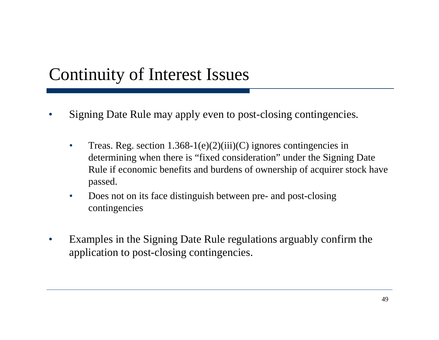## Continuity of Interest Issues

- • Signing Date Rule may apply even to post-closing contingencies.
	- $\bullet$ Treas. Reg. section  $1.368-1(e)(2)(iii)(C)$  ignores contingencies in determining when there is "fixed consideration" under the Signing Date Rule if economic benefits and burdens of ownership of acquirer stock have passed.
	- $\bullet$  Does not on its face distinguish between pre- and post-closing contingencies
- $\bullet$  Examples in the Signing Date Rule regulations arguably confirm the application to post-closing contingencies.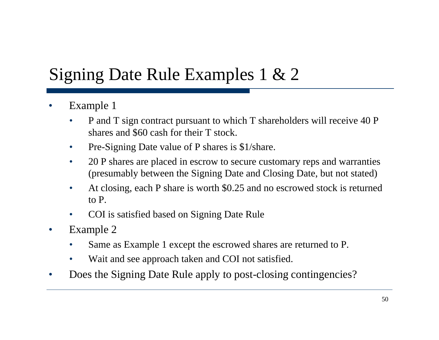## Signing Date Rule Examples 1 & 2

- •• Example 1
	- • P and T sign contract pursuant to which T shareholders will receive 40 P shares and \$60 cash for their T stock.
	- •• Pre-Signing Date value of P shares is  $$1/s$ hare.
	- • 20 P shares are placed in escrow to secure customary reps and warranties (presumably between the Signing Date and Closing Date, but not stated)
	- •At closing, each P share is worth \$0.25 and no escrowed stock is returned to P.
	- •COI is satisfied based on Signing Date Rule
- •• Example 2
	- •Same as Example 1 except the escrowed shares are returned to P.
	- •Wait and see approach taken and COI not satisfied.
- •• Does the Signing Date Rule apply to post-closing contingencies?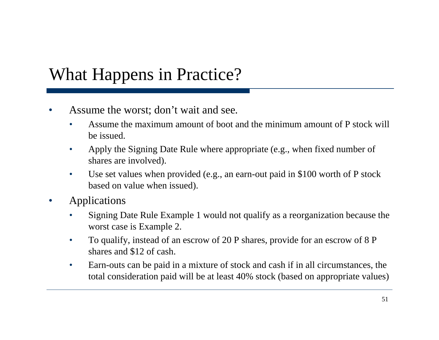## What Happens in Practice?

- • Assume the worst; don't wait and see.
	- • Assume the maximum amount of boot and the minimum amount of P stock will be issued.
	- •Apply the Signing Date Rule where appropriate (e.g., when fixed number of shares are involved).
	- $\bullet$  Use set values when provided (e.g., an earn-out paid in \$100 worth of P stock based on value when issued).
- $\bullet$  Applications
	- • Signing Date Rule Example 1 would not qualify as a reorganization because the worst case is Example 2.
	- • To qualify, instead of an escrow of 20 P shares, provide for an escrow of 8 P shares and \$12 of cash.
	- • Earn-outs can be paid in a mixture of stock and cash if in all circumstances, the total consideration paid will be at least 40% stock (based on appropriate values)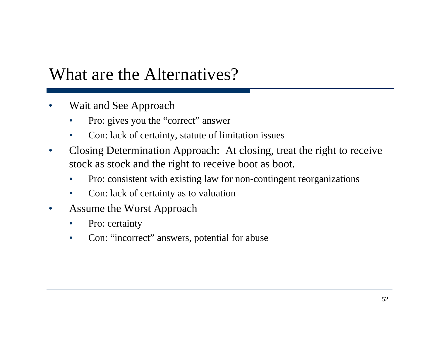#### What are the Alternatives?

- • Wait and See Approach
	- •Pro: gives you the "correct" answer
	- •Con: lack of certainty, statute of limitation issues
- $\bullet$ • Closing Determination Approach: At closing, treat the right to receive stock as stock and the right to receive boot as boot.
	- •Pro: consistent with existing law for non-contingent reorganizations
	- $\bullet$ • Con: lack of certainty as to valuation
- $\bullet$  Assume the Worst Approach
	- •Pro: certainty
	- $\bullet$ Con: "incorrect" answers, potential for abuse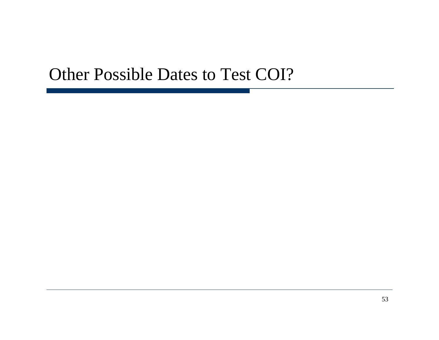#### Other Possible Dates to Test COI?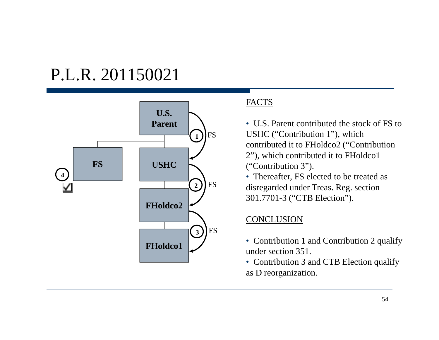#### P.L.R. 201150021



#### FACTS

• U.S. Parent contributed the stock of FS to USHC ("Contribution 1"), which contributed it to FHoldco2 ("Contribution ( 2"), which contributed it to FHoldco1 ("Contribution 3").

• Thereafter, FS elected to be treated as disregarded under Treas. Reg. section 301.7701-3 ("CTB Election").

#### CONCLUSION

- Contribution 1 and Contribution 2 qualify under section 351.
- Contribution 3 and CTB Election qualify as D reorganization.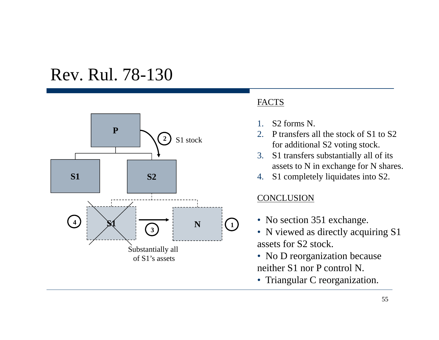#### Rev. Rul. 78-130



#### FACTS

- 1.S<sub>2</sub> forms N.
- 2. P transfers all the stock of S1 to S2for additional S2 voting stock.
- 3. S1 transfers substantially all of its assets to N in exchange for N shares.
- 4. S1 completely liquidates into S2.

#### CONCLUSION

- No section 351 exchange.
- N viewed as directly acquiring S1 assets for S2 stock.
- No D reorganization because neither S1 nor P control N.
- Triangular C reorganization.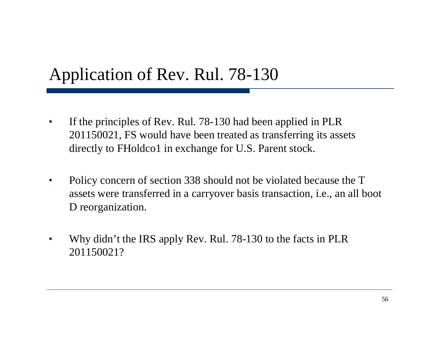## Application of Rev. Rul. 78-130

- • If the principles of Rev. Rul. 78-130 had been applied in PLR 201150021, FS would have been treated as transferring its assets directly to FHoldco1 in exchange for U.S. Parent stock.
- $\bullet$  Policy concern of section 338 should not be violated because the T assets were transferred in a carryover basis transaction, i.e., an all boot D reorganization.
- $\bullet$ • Why didn't the IRS apply Rev. Rul. 78-130 to the facts in PLR 201150021?